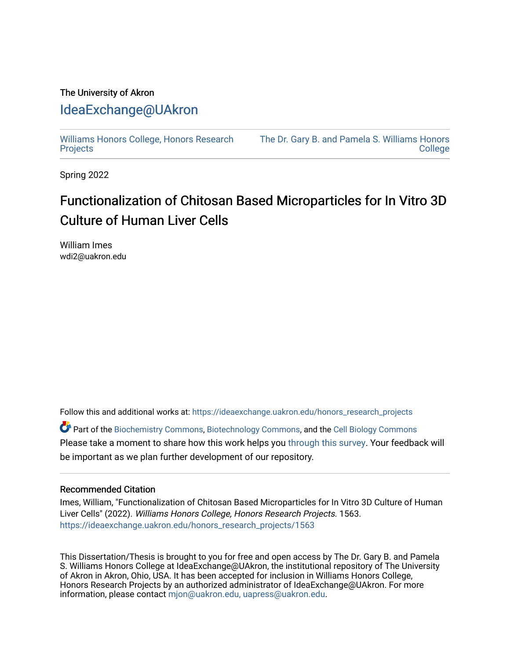### The University of Akron [IdeaExchange@UAkron](https://ideaexchange.uakron.edu/)

[Williams Honors College, Honors Research](https://ideaexchange.uakron.edu/honors_research_projects)  **[Projects](https://ideaexchange.uakron.edu/honors_research_projects)** 

[The Dr. Gary B. and Pamela S. Williams Honors](https://ideaexchange.uakron.edu/honorscollege_ideas)  **College** 

Spring 2022

## Functionalization of Chitosan Based Microparticles for In Vitro 3D Culture of Human Liver Cells

William Imes wdi2@uakron.edu

Follow this and additional works at: [https://ideaexchange.uakron.edu/honors\\_research\\_projects](https://ideaexchange.uakron.edu/honors_research_projects?utm_source=ideaexchange.uakron.edu%2Fhonors_research_projects%2F1563&utm_medium=PDF&utm_campaign=PDFCoverPages) 

Part of the [Biochemistry Commons](http://network.bepress.com/hgg/discipline/2?utm_source=ideaexchange.uakron.edu%2Fhonors_research_projects%2F1563&utm_medium=PDF&utm_campaign=PDFCoverPages), [Biotechnology Commons](http://network.bepress.com/hgg/discipline/111?utm_source=ideaexchange.uakron.edu%2Fhonors_research_projects%2F1563&utm_medium=PDF&utm_campaign=PDFCoverPages), and the [Cell Biology Commons](http://network.bepress.com/hgg/discipline/10?utm_source=ideaexchange.uakron.edu%2Fhonors_research_projects%2F1563&utm_medium=PDF&utm_campaign=PDFCoverPages)  Please take a moment to share how this work helps you [through this survey](http://survey.az1.qualtrics.com/SE/?SID=SV_eEVH54oiCbOw05f&URL=https://ideaexchange.uakron.edu/honors_research_projects/1563). Your feedback will be important as we plan further development of our repository.

#### Recommended Citation

Imes, William, "Functionalization of Chitosan Based Microparticles for In Vitro 3D Culture of Human Liver Cells" (2022). Williams Honors College, Honors Research Projects. 1563. [https://ideaexchange.uakron.edu/honors\\_research\\_projects/1563](https://ideaexchange.uakron.edu/honors_research_projects/1563?utm_source=ideaexchange.uakron.edu%2Fhonors_research_projects%2F1563&utm_medium=PDF&utm_campaign=PDFCoverPages) 

This Dissertation/Thesis is brought to you for free and open access by The Dr. Gary B. and Pamela S. Williams Honors College at IdeaExchange@UAkron, the institutional repository of The University of Akron in Akron, Ohio, USA. It has been accepted for inclusion in Williams Honors College, Honors Research Projects by an authorized administrator of IdeaExchange@UAkron. For more information, please contact [mjon@uakron.edu, uapress@uakron.edu.](mailto:mjon@uakron.edu,%20uapress@uakron.edu)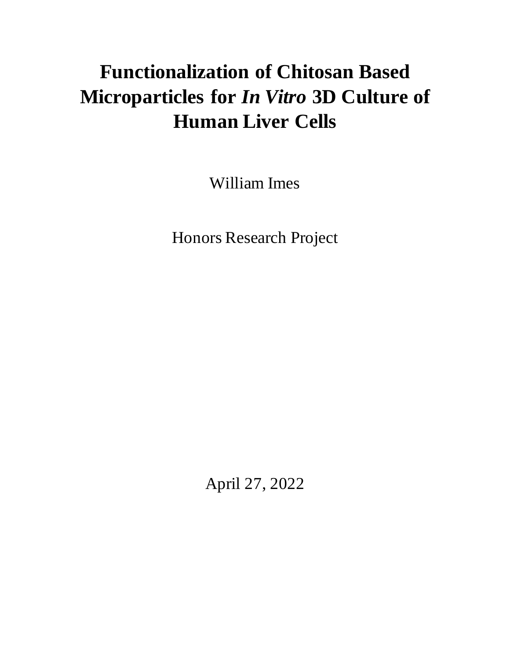# **Functionalization of Chitosan Based Microparticles for** *In Vitro* **3D Culture of Human Liver Cells**

William Imes

Honors Research Project

April 27, 2022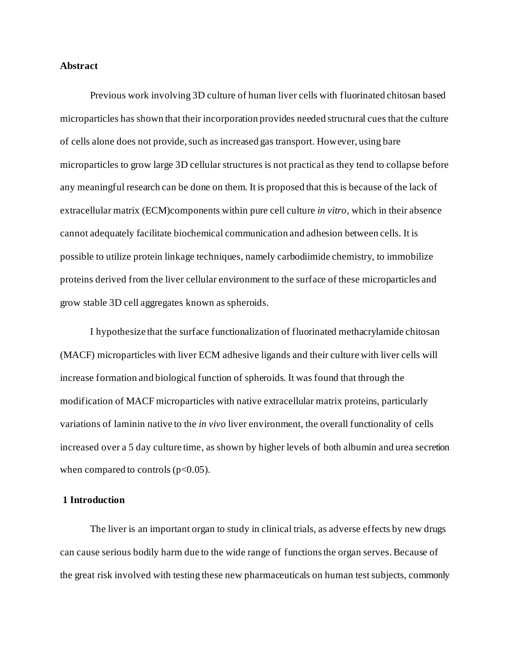#### **Abstract**

Previous work involving 3D culture of human liver cells with fluorinated chitosan based microparticles has shown that their incorporation provides needed structural cues that the culture of cells alone does not provide, such as increased gas transport. However, using bare microparticles to grow large 3D cellular structures is not practical as they tend to collapse before any meaningful research can be done on them. It is proposed that this is because of the lack of extracellular matrix (ECM)components within pure cell culture *in vitro*, which in their absence cannot adequately facilitate biochemical communication and adhesion between cells. It is possible to utilize protein linkage techniques, namely carbodiimide chemistry, to immobilize proteins derived from the liver cellular environment to the surface of these microparticles and grow stable 3D cell aggregates known as spheroids.

I hypothesize that the surface functionalization of fluorinated methacrylamide chitosan (MACF) microparticles with liver ECM adhesive ligands and their culture with liver cells will increase formation and biological function of spheroids. It was found that through the modification of MACF microparticles with native extracellular matrix proteins, particularly variations of laminin native to the *in vivo* liver environment, the overall functionality of cells increased over a 5 day culture time, as shown by higher levels of both albumin and urea secretion when compared to controls  $(p<0.05)$ .

#### **1 Introduction**

The liver is an important organ to study in clinical trials, as adverse effects by new drugs can cause serious bodily harm due to the wide range of functions the organ serves. Because of the great risk involved with testing these new pharmaceuticals on human test subjects, commonly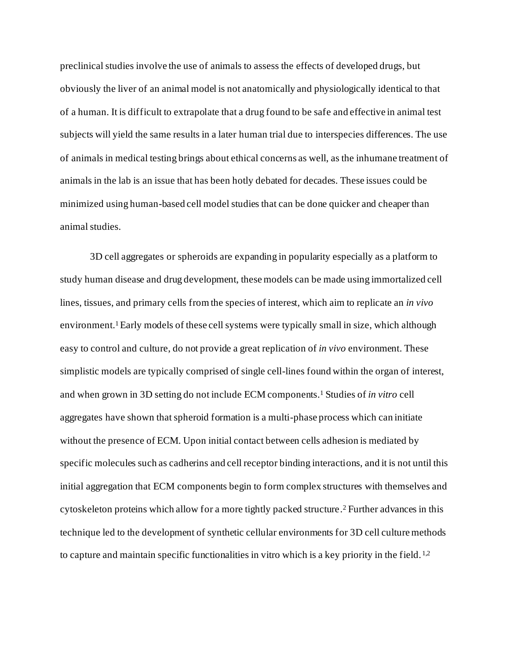preclinical studies involve the use of animals to assess the effects of developed drugs, but obviously the liver of an animal model is not anatomically and physiologically identical to that of a human. It is difficult to extrapolate that a drug found to be safe and effective in animal test subjects will yield the same results in a later human trial due to interspecies differences. The use of animals in medical testing brings about ethical concerns as well, as the inhumane treatment of animals in the lab is an issue that has been hotly debated for decades. These issues could be minimized using human-based cell model studies that can be done quicker and cheaper than animal studies.

3D cell aggregates or spheroids are expanding in popularity especially as a platform to study human disease and drug development, these models can be made using immortalized cell lines, tissues, and primary cells from the species of interest, which aim to replicate an *in vivo* environment. <sup>1</sup>Early models of these cell systems were typically small in size, which although easy to control and culture, do not provide a great replication of *in vivo* environment. These simplistic models are typically comprised of single cell-lines found within the organ of interest, and when grown in 3D setting do not include ECM components. <sup>1</sup> Studies of *in vitro* cell aggregates have shown that spheroid formation is a multi-phase process which can initiate without the presence of ECM. Upon initial contact between cells adhesion is mediated by specific molecules such as cadherins and cell receptor binding interactions, and it is not until this initial aggregation that ECM components begin to form complex structures with themselves and cytoskeleton proteins which allow for a more tightly packed structure. <sup>2</sup> Further advances in this technique led to the development of synthetic cellular environments for 3D cell culture methods to capture and maintain specific functionalities in vitro which is a key priority in the field.  $1.2$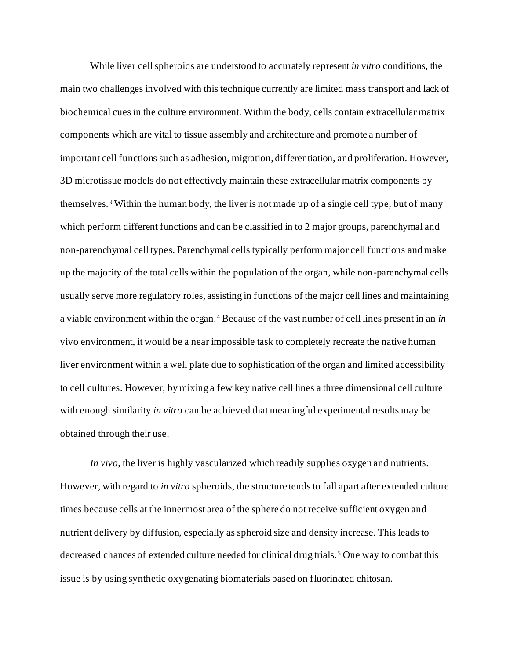While liver cell spheroids are understood to accurately represent *in vitro* conditions, the main two challenges involved with this technique currently are limited mass transport and lack of biochemical cues in the culture environment. Within the body, cells contain extracellular matrix components which are vital to tissue assembly and architecture and promote a number of important cell functions such as adhesion, migration, differentiation, and proliferation. However, 3D microtissue models do not effectively maintain these extracellular matrix components by themselves.<sup>3</sup> Within the human body, the liver is not made up of a single cell type, but of many which perform different functions and can be classified in to 2 major groups, parenchymal and non-parenchymal cell types. Parenchymal cells typically perform major cell functions and make up the majority of the total cells within the population of the organ, while non-parenchymal cells usually serve more regulatory roles, assisting in functions of the major cell lines and maintaining a viable environment within the organ.<sup>4</sup> Because of the vast number of cell lines present in an *in*  vivo environment, it would be a near impossible task to completely recreate the native human liver environment within a well plate due to sophistication of the organ and limited accessibility to cell cultures. However, by mixing a few key native cell lines a three dimensional cell culture with enough similarity *in vitro* can be achieved that meaningful experimental results may be obtained through their use.

*In vivo*, the liver is highly vascularized which readily supplies oxygen and nutrients. However, with regard to *in vitro* spheroids, the structure tends to fall apart after extended culture times because cells at the innermost area of the sphere do not receive sufficient oxygen and nutrient delivery by diffusion, especially as spheroid size and density increase. This leads to decreased chances of extended culture needed for clinical drug trials.<sup>5</sup> One way to combat this issue is by using synthetic oxygenating biomaterials based on fluorinated chitosan.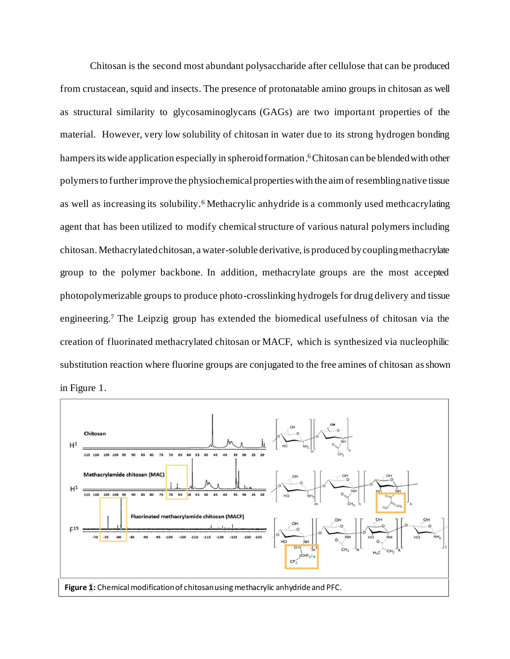Chitosan is the second most abundant polysaccharide after cellulose that can be produced from crustacean, squid and insects. The presence of protonatable amino groups in chitosan as well as structural similarity to glycosaminoglycans (GAGs) are two important properties of the material. However, very low solubility of chitosan in water due to its strong hydrogen bonding hampers its wide application especially in spheroid formation. <sup>6</sup>Chitosan can be blended with other polymers to further improve the physiochemical properties with the aim of resembling native tissue as well as increasing its solubility.<sup>6</sup> Methacrylic anhydride is a commonly used methcacrylating agent that has been utilized to modify chemical structure of various natural polymers including chitosan. Methacrylated chitosan, a water-soluble derivative, is produced by coupling methacrylate group to the polymer backbone. In addition, methacrylate groups are the most accepted photopolymerizable groups to produce photo-crosslinking hydrogels for drug delivery and tissue engineering. <sup>7</sup> The Leipzig group has extended the biomedical usefulness of chitosan via the creation of fluorinated methacrylated chitosan or MACF, which is synthesized via nucleophilic substitution reaction where fluorine groups are conjugated to the free amines of chitosan as shown



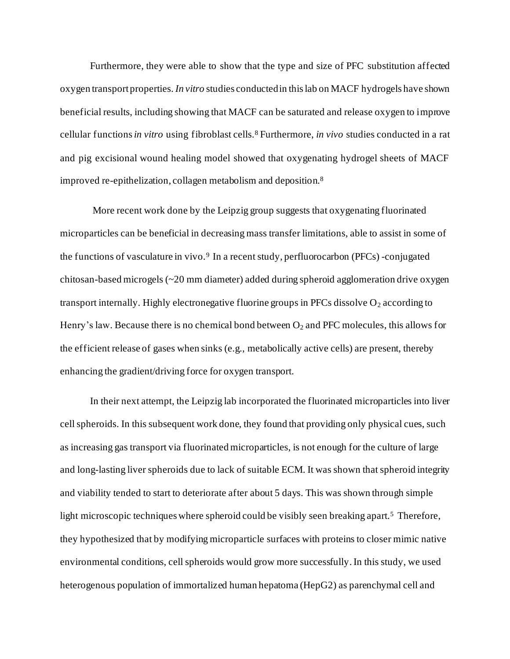Furthermore, they were able to show that the type and size of PFC substitution affected oxygen transport properties. *In vitro* studies conducted in this lab on MACF hydrogels have shown beneficial results, including showing that MACF can be saturated and release oxygen to improve cellular functions *in vitro* using fibroblast cells.<sup>8</sup> Furthermore, *in vivo* studies conducted in a rat and pig excisional wound healing model showed that oxygenating hydrogel sheets of MACF improved re-epithelization, collagen metabolism and deposition. 8

More recent work done by the Leipzig group suggests that oxygenating fluorinated microparticles can be beneficial in decreasing mass transfer limitations, able to assist in some of the functions of vasculature in vivo.<sup>9</sup> In a recent study, perfluorocarbon (PFCs) -conjugated chitosan-based microgels (~20 mm diameter) added during spheroid agglomeration drive oxygen transport internally. Highly electronegative fluorine groups in PFCs dissolve  $O_2$  according to Henry's law. Because there is no chemical bond between  $O_2$  and PFC molecules, this allows for the efficient release of gases when sinks (e.g., metabolically active cells) are present, thereby enhancing the gradient/driving force for oxygen transport.

In their next attempt, the Leipzig lab incorporated the fluorinated microparticles into liver cellspheroids. In this subsequent work done, they found that providing only physical cues, such as increasing gas transport via fluorinated microparticles, is not enough for the culture of large and long-lasting liver spheroids due to lack of suitable ECM. It was shown that spheroid integrity and viability tended to start to deteriorate after about 5 days. This was shown through simple light microscopic techniques where spheroid could be visibly seen breaking apart.<sup>5</sup> Therefore, they hypothesized that by modifying microparticle surfaces with proteins to closer mimic native environmental conditions, cell spheroids would grow more successfully. In this study, we used heterogenous population of immortalized human hepatoma (HepG2) as parenchymal cell and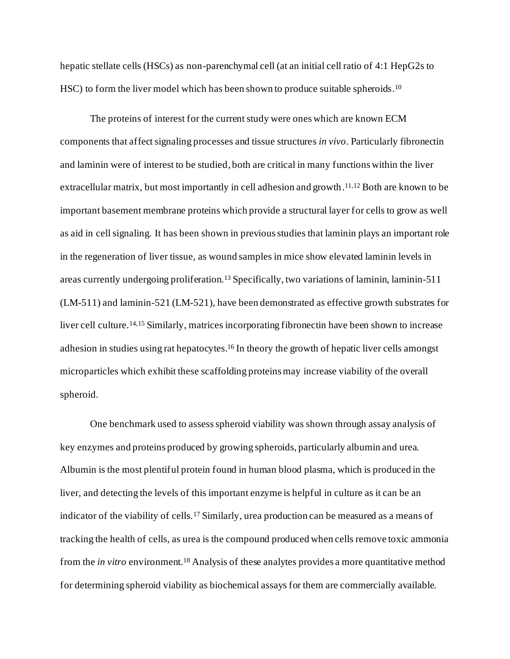hepatic stellate cells (HSCs) as non-parenchymal cell (at an initial cell ratio of 4:1 HepG2s to HSC) to form the liver model which has been shown to produce suitable spheroids.<sup>10</sup>

The proteins of interest for the current study were ones which are known ECM components that affect signaling processes and tissue structures *in vivo*. Particularly fibronectin and laminin were of interest to be studied, both are critical in many functions within the liver extracellular matrix, but most importantly in cell adhesion and growth.<sup>11,12</sup> Both are known to be important basement membrane proteins which provide a structural layer for cells to grow as well as aid in cell signaling. It has been shown in previous studies that laminin plays an important role in the regeneration of liver tissue, as wound samples in mice show elevated laminin levels in areas currently undergoing proliferation. <sup>13</sup> Specifically, two variations of laminin, laminin-511 (LM-511) and laminin-521 (LM-521), have been demonstrated as effective growth substrates for liver cell culture.14,15 Similarly, matrices incorporating fibronectin have been shown to increase adhesion in studies using rat hepatocytes.<sup>16</sup> In theory the growth of hepatic liver cells amongst microparticles which exhibit these scaffolding proteins may increase viability of the overall spheroid.

One benchmark used to assess spheroid viability was shown through assay analysis of key enzymes and proteins produced by growing spheroids, particularly albumin and urea. Albumin is the most plentiful protein found in human blood plasma, which is produced in the liver, and detecting the levels of this important enzyme is helpful in culture as it can be an indicator of the viability of cells.<sup>17</sup> Similarly, urea production can be measured as a means of tracking the health of cells, as urea is the compound produced when cells remove toxic ammonia from the *in vitro* environment.<sup>18</sup> Analysis of these analytes provides a more quantitative method for determining spheroid viability as biochemical assays for them are commercially available.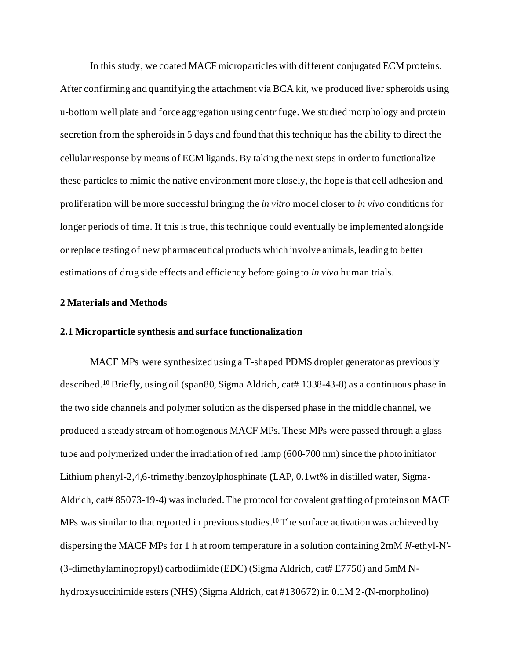In this study, we coated MACF microparticles with different conjugated ECM proteins. After confirming and quantifying the attachment via BCA kit, we produced liver spheroids using u-bottom well plate and force aggregation using centrifuge. We studied morphology and protein secretion from the spheroids in 5 days and found that this technique has the ability to direct the cellular response by means of ECM ligands. By taking the next steps in order to functionalize these particles to mimic the native environment more closely, the hope is that cell adhesion and proliferation will be more successful bringing the *in vitro* model closer to *in vivo* conditions for longer periods of time. If this is true, this technique could eventually be implemented alongside or replace testing of new pharmaceutical products which involve animals, leading to better estimations of drug side effects and efficiency before going to *in vivo* human trials.

#### **2 Materials and Methods**

#### **2.1 Microparticle synthesis and surface functionalization**

MACF MPs were synthesized using a T-shaped PDMS droplet generator as previously described.<sup>10</sup> Briefly, using oil (span80, Sigma Aldrich, cat[# 1338-43-8](https://www.sigmaaldrich.com/US/en/search/1338-43-8?focus=products&page=1&perPage=30&sort=relevance&term=1338-43-8&type=cas_number)) as a continuous phase in the two side channels and polymer solution as the dispersed phase in the middle channel, we produced a steady stream of homogenous MACF MPs. These MPs were passed through a glass tube and polymerized under the irradiation of red lamp (600-700 nm) since the photo initiator Lithium phenyl-2,4,6-trimethylbenzoylphosphinate **(**LAP, 0.1wt% in distilled water, Sigma-Aldrich, cat[# 85073-19-4](https://www.sigmaaldrich.com/US/en/search/85073-19-4?focus=products&page=1&perPage=30&sort=relevance&term=85073-19-4&type=cas_number)) was included. The protocol for covalent grafting of proteins on MACF MPs was similar to that reported in previous studies. <sup>10</sup> The surface activation was achieved by dispersing the MACF MPs for 1 h at room temperature in a solution containing 2mM *N*-ethyl-N′- (3-dimethylaminopropyl) carbodiimide (EDC) (Sigma Aldrich, cat# E7750) and 5mM Nhydroxysuccinimide esters (NHS) (Sigma Aldrich, cat #130672) in 0.1M 2-(N-morpholino)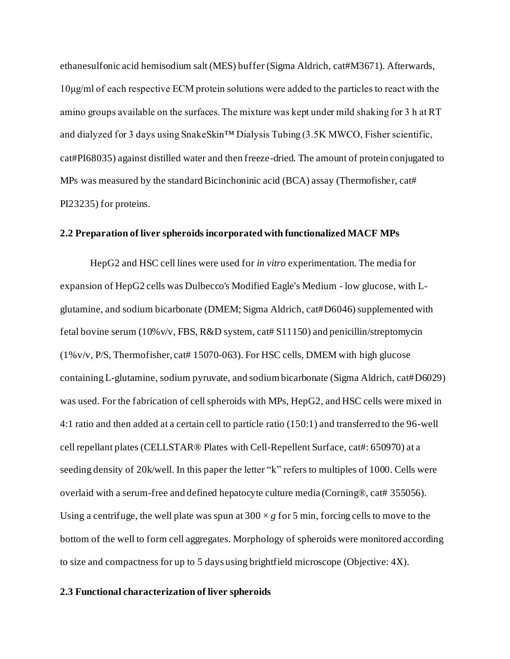ethanesulfonic acid hemisodium salt (MES) buffer (Sigma Aldrich, cat#M3671). Afterwards, 10μg/ml of each respective ECM protein solutions were added to the particles to react with the amino groups available on the surfaces. The mixture was kept under mild shaking for 3 h at RT and dialyzed for 3 days using SnakeSkin™ Dialysis Tubing (3.5K MWCO, Fisher scientific, cat#PI68035) against distilled water and then freeze-dried. The amount of protein conjugated to MPs was measured by the standard Bicinchoninic acid (BCA) assay (Thermofisher, cat# PI23235) for proteins.

#### **2.2 Preparation of liver spheroids incorporated with functionalized MACF MPs**

HepG2 and HSC cell lines were used for *in vitro* experimentation. The media for expansion of HepG2 cells was Dulbecco's Modified Eagle's Medium - low glucose, with Lglutamine, and sodium bicarbonate (DMEM; Sigma Aldrich, cat#D6046) supplemented with fetal bovine serum (10%v/v, FBS, R&D system, cat# S11150) and penicillin/streptomycin (1%v/v, P/S, Thermofisher, cat# 15070-063). For HSC cells, DMEM with high glucose containing L-glutamine, sodium pyruvate, and sodium bicarbonate (Sigma Aldrich, cat#D6029) was used. For the fabrication of cell spheroids with MPs, HepG2, and HSC cells were mixed in 4:1 ratio and then added at a certain cell to particle ratio (150:1) and transferred to the 96-well cell repellant plates (CELLSTAR® Plates with Cell-Repellent Surface, cat#: 650970) at a seeding density of 20k/well. In this paper the letter "k" refers to multiples of 1000. Cells were overlaid with a serum-free and defined hepatocyte culture media (Corning®, cat# 355056). Using a centrifuge, the well plate was spun at  $300 \times g$  for 5 min, forcing cells to move to the bottom of the well to form cell aggregates. Morphology of spheroids were monitored according to size and compactness for up to 5 days using brightfield microscope (Objective: 4X).

#### **2.3 Functional characterization of liver spheroids**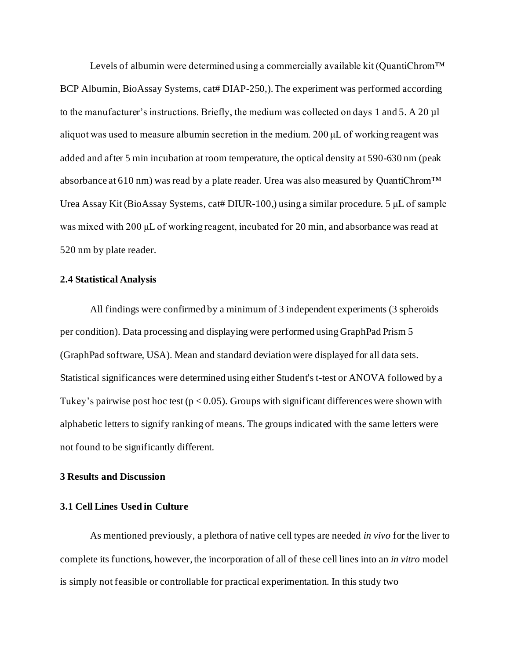Levels of [albumin](https://www.sciencedirect.com/topics/earth-and-planetary-sciences/albumin) were determined using a commercially available kit (QuantiChrom<sup>TM</sup> BCP Albumin, BioAssay Systems, cat# DIAP-250,). The experiment was performed according to the manufacturer's instructions. Briefly, the medium was collected on days 1 and 5. A 20 µl aliquot was used to measure albumin secretion in the medium. 200 μL of working reagent was added and after 5 min incubation at room temperature, the optical density at 590-630 nm (peak absorbance at 610 nm) was read by a plate reader. Urea was also measured by QuantiChrom™ Urea Assay Kit (BioAssay Systems, cat# DIUR-100,) using a similar procedure. 5 μL of sample was mixed with 200 μL of working reagent, incubated for 20 min, and absorbance was read at 520 nm by plate reader.

#### **2.4 Statistical Analysis**

All findings were confirmed by a minimum of 3 independent experiments (3 spheroids per condition). Data processing and displaying were performed using GraphPad Prism 5 (GraphPad software, USA). Mean and standard deviation were displayed for all data sets. Statistical significances were determined using either Student's t-test or ANOVA followed by a Tukey's pairwise post hoc test ( $p < 0.05$ ). Groups with significant differences were shown with alphabetic letters to signify ranking of means. The groups indicated with the same letters were not found to be significantly different.

#### **3 Results and Discussion**

#### **3.1 Cell Lines Used in Culture**

As mentioned previously, a plethora of native cell types are needed *in vivo* for the liver to complete its functions, however, the incorporation of all of these cell lines into an *in vitro* model is simply not feasible or controllable for practical experimentation. In this study two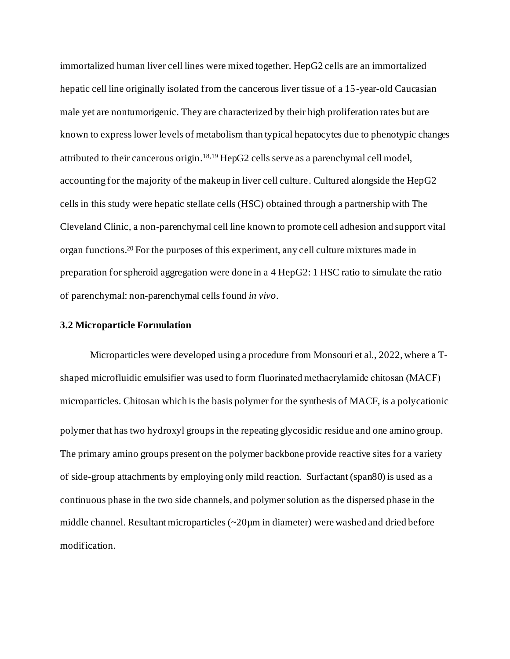immortalized human liver cell lines were mixed together. HepG2 cells are an immortalized hepatic cell line originally isolated from the cancerous liver tissue of a 15-year-old Caucasian male yet are nontumorigenic. They are characterized by their high proliferation rates but are known to express lower levels of metabolism than typical hepatocytes due to phenotypic changes attributed to their cancerous origin. 18,19 HepG2 cells serve as a parenchymal cell model, accounting for the majority of the makeup in liver cell culture. Cultured alongside the HepG2 cells in this study were hepatic stellate cells (HSC) obtained through a partnership with The Cleveland Clinic, a non-parenchymal cell line known to promote cell adhesion and support vital organ functions. <sup>20</sup> For the purposes of this experiment, any cell culture mixtures made in preparation for spheroid aggregation were done in a 4 HepG2: 1 HSC ratio to simulate the ratio of parenchymal: non-parenchymal cells found *in vivo*.

#### **3.2 Microparticle Formulation**

Microparticles were developed using a procedure from Monsouri et al., 2022, where a Tshaped microfluidic emulsifier was used to form fluorinated methacrylamide chitosan (MACF) microparticles. Chitosan which is the basis polymer for the synthesis of MACF, is a polycationic polymer that has two hydroxyl groups in the repeating glycosidic residue and one amino group. The primary amino groups present on the polymer backbone provide reactive sites for a variety of side-group attachments by employing only mild reaction. Surfactant (span80) is used as a continuous phase in the two side channels, and polymer solution as the dispersed phase in the middle channel. Resultant microparticles (~20µm in diameter) were washed and dried before modification.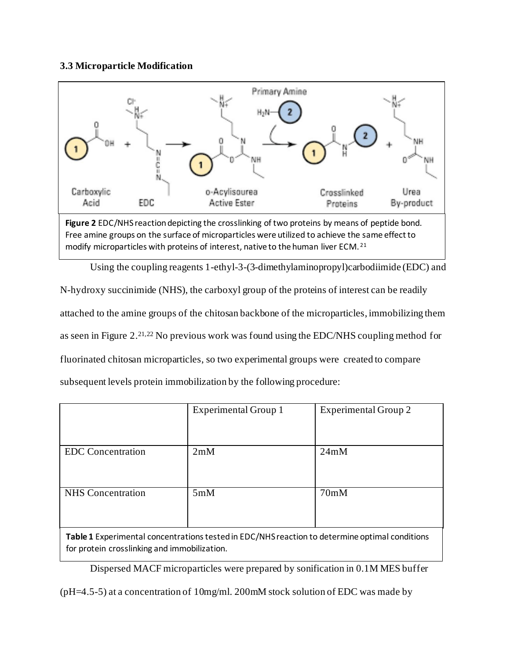#### **3.3 Microparticle Modification**



Free amine groups on the surface of microparticles were utilized to achieve the same effect to modify microparticles with proteins of interest, native to the human liver ECM. <sup>21</sup>

Using the coupling reagents 1-ethyl-3-(3-dimethylaminopropyl)carbodiimide (EDC) and

N-hydroxy succinimide (NHS), the carboxyl group of the proteins of interest can be readily attached to the amine groups of the chitosan backbone of the microparticles, immobilizing them as seen in Figure 2. 21,22 No previous work was found using the EDC/NHS coupling method for fluorinated chitosan microparticles, so two experimental groups were created to compare subsequent levels protein immobilization by the following procedure:

|                          | <b>Experimental Group 1</b> | <b>Experimental Group 2</b> |  |
|--------------------------|-----------------------------|-----------------------------|--|
|                          |                             |                             |  |
| <b>EDC</b> Concentration | 2mM                         | 24mM                        |  |
| <b>NHS</b> Concentration | 5mM                         | 70mM                        |  |

**Table 1** Experimental concentrations tested in EDC/NHS reaction to determine optimal conditions for protein crosslinking and immobilization.

Dispersed MACF microparticles were prepared by sonification in 0.1M MES buffer

(pH=4.5-5) at a concentration of 10mg/ml. 200mM stock solution of EDC was made by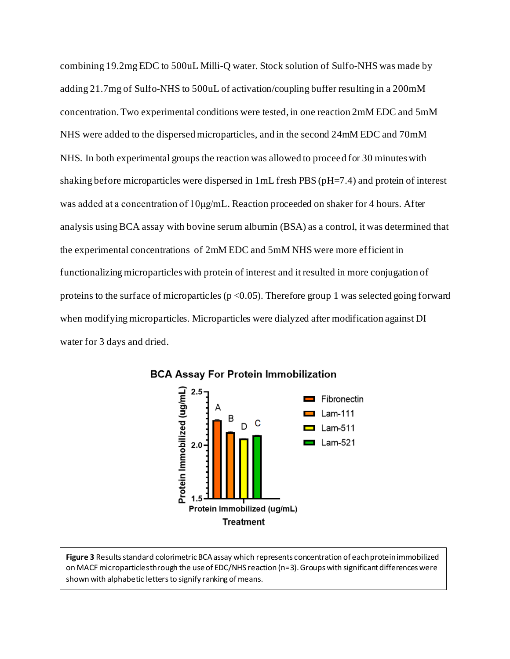combining 19.2mg EDC to 500uL Milli-Q water. Stock solution of Sulfo-NHS was made by adding 21.7mg of Sulfo-NHS to 500uL of activation/coupling buffer resulting in a 200mM concentration. Two experimental conditions were tested, in one reaction 2mM EDC and 5mM NHS were added to the dispersed microparticles, and in the second 24mM EDC and 70mM NHS. In both experimental groups the reaction was allowed to proceed for 30 minutes with shaking before microparticles were dispersed in 1mL fresh PBS (pH=7.4) and protein of interest was added at a concentration of 10μg/mL. Reaction proceeded on shaker for 4 hours. After analysis using BCA assay with bovine serum albumin (BSA) as a control, it was determined that the experimental concentrations of 2mM EDC and 5mM NHS were more efficient in functionalizing microparticles with protein of interest and it resulted in more conjugation of proteins to the surface of microparticles ( $p < 0.05$ ). Therefore group 1 was selected going forward when modifying microparticles. Microparticles were dialyzed after modification against DI water for 3 days and dried.

![](_page_13_Figure_1.jpeg)

#### **BCA Assay For Protein Immobilization**

Figure 3 Results standard colorimetric BCA assay which represents concentration of each protein immobilized on MACF microparticles through the use of EDC/NHS reaction (n=3). Groups with significant differences were shown with alphabetic letters to signify ranking of means.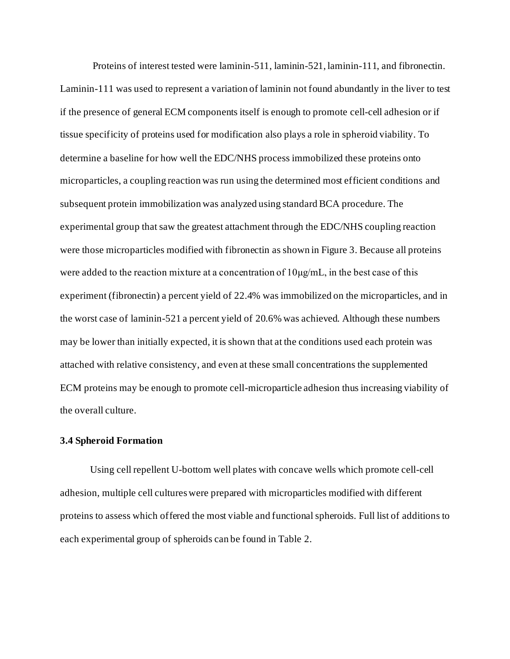Proteins of interest tested were laminin-511, laminin-521, laminin-111, and fibronectin. Laminin-111 was used to represent a variation of laminin not found abundantly in the liver to test if the presence of general ECM components itself is enough to promote cell-cell adhesion or if tissue specificity of proteins used for modification also plays a role in spheroid viability. To determine a baseline for how well the EDC/NHS process immobilized these proteins onto microparticles, a coupling reaction was run using the determined most efficient conditions and subsequent protein immobilization was analyzed using standard BCA procedure. The experimental group that saw the greatest attachment through the EDC/NHS coupling reaction were those microparticles modified with fibronectin as shown in Figure 3. Because all proteins were added to the reaction mixture at a concentration of 10μg/mL, in the best case of this experiment (fibronectin) a percent yield of 22.4% was immobilized on the microparticles, and in the worst case of laminin-521 a percent yield of 20.6% was achieved. Although these numbers may be lower than initially expected, it is shown that at the conditions used each protein was attached with relative consistency, and even at these small concentrations the supplemented ECM proteins may be enough to promote cell-microparticle adhesion thus increasing viability of the overall culture.

#### **3.4 Spheroid Formation**

Using cell repellent U-bottom well plates with concave wells which promote cell-cell adhesion, multiple cell cultures were prepared with microparticles modified with different proteins to assess which offered the most viable and functional spheroids. Full list of additions to each experimental group of spheroids can be found in Table 2.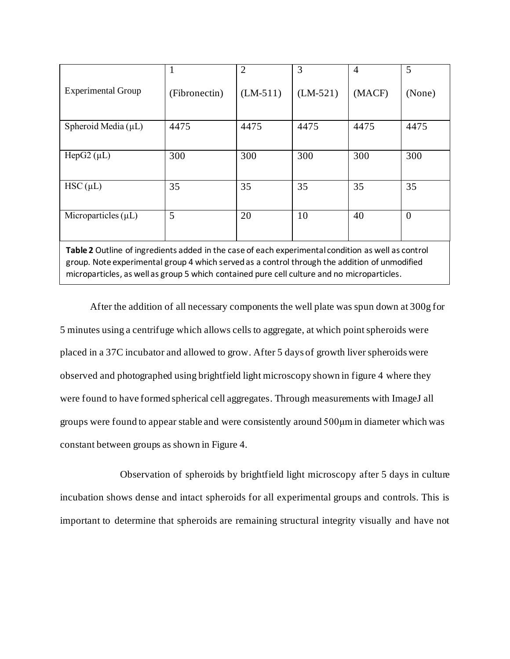|                                                                                                                                                                                                                                                                                                    |               | $\overline{2}$ | 3          | $\overline{4}$ | 5        |  |
|----------------------------------------------------------------------------------------------------------------------------------------------------------------------------------------------------------------------------------------------------------------------------------------------------|---------------|----------------|------------|----------------|----------|--|
| <b>Experimental Group</b>                                                                                                                                                                                                                                                                          | (Fibronectin) | $(LM-511)$     | $(LM-521)$ | (MACF)         | (None)   |  |
| Spheroid Media $(\mu L)$                                                                                                                                                                                                                                                                           | 4475          | 4475           | 4475       | 4475           | 4475     |  |
| HepG2 $(\mu L)$                                                                                                                                                                                                                                                                                    | 300           | 300            | 300        | 300            | 300      |  |
| $HSC(\mu L)$                                                                                                                                                                                                                                                                                       | 35            | 35             | 35         | 35             | 35       |  |
| Microparticles $(\mu L)$                                                                                                                                                                                                                                                                           | 5             | 20             | 10         | 40             | $\theta$ |  |
| Table 2 Outline of ingredients added in the case of each experimental condition as well as control<br>group. Note experimental group 4 which served as a control through the addition of unmodified<br>microparticles, as well as group 5 which contained pure cell culture and no microparticles. |               |                |            |                |          |  |

After the addition of all necessary components the well plate was spun down at 300g for 5 minutes using a centrifuge which allows cells to aggregate, at which point spheroids were placed in a 37C incubator and allowed to grow. After 5 days of growth liver spheroids were observed and photographed using brightfield light microscopy shown in figure 4 where they were found to have formed spherical cell aggregates. Through measurements with ImageJ all groups were found to appear stable and were consistently around 500μm in diameter which was constant between groups as shown in Figure 4.

Observation of spheroids by brightfield light microscopy after 5 days in culture incubation shows dense and intact spheroids for all experimental groups and controls. This is important to determine that spheroids are remaining structural integrity visually and have not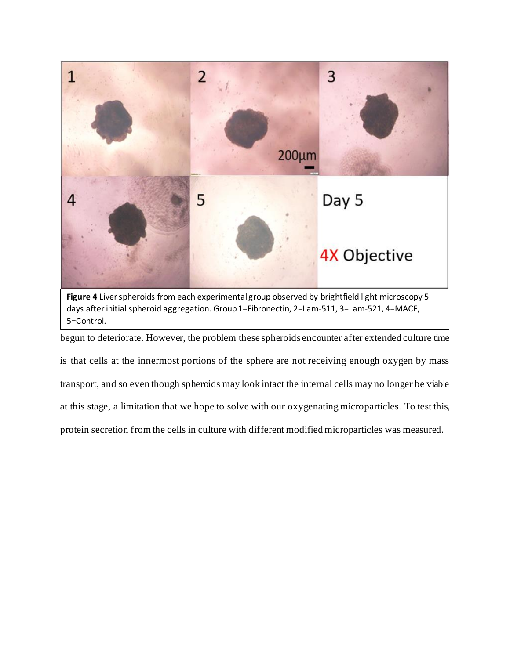![](_page_16_Figure_0.jpeg)

days after initial spheroid aggregation. Group 1=Fibronectin, 2=Lam-511, 3=Lam-521, 4=MACF, 5=Control.

begun to deteriorate. However, the problem these spheroids encounter after extended culture time is that cells at the innermost portions of the sphere are not receiving enough oxygen by mass transport, and so even though spheroids may look intact the internal cells may no longer be viable at this stage, a limitation that we hope to solve with our oxygenating microparticles. To test this, protein secretion from the cells in culture with different modified microparticles was measured.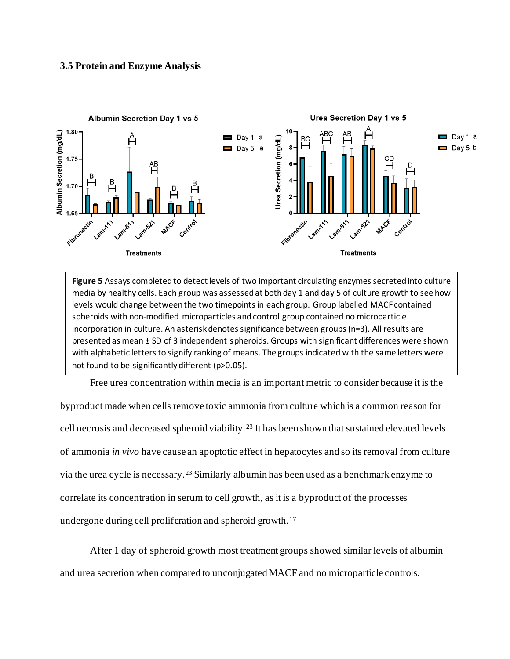#### **3.5 Protein and Enzyme Analysis**

![](_page_17_Figure_1.jpeg)

**Figure 5** Assays completed to detect levels of two important circulating enzymes secreted into culture media by healthy cells. Each group was assessed at both day 1 and day 5 of culture growth to see how levels would change between the two timepoints in each group. Group labelled MACF contained spheroids with non-modified microparticles and control group contained no microparticle incorporation in culture. An asterisk denotes significance between groups (n=3). All results are presented as mean ± SD of 3 independent spheroids. Groups with significant differences were shown with alphabetic letters to signify ranking of means. The groups indicated with the same letters were not found to be significantly different (p>0.05).

Free urea concentration within media is an important metric to consider because it is the

byproduct made when cells remove toxic ammonia from culture which is a common reason for cell necrosis and decreased spheroid viability.<sup>23</sup> It has been shown that sustained elevated levels of ammonia *in vivo* have cause an apoptotic effect in hepatocytes and so its removal from culture via the urea cycle is necessary.<sup>23</sup> Similarly albumin has been used as a benchmark enzyme to correlate its concentration in serum to cell growth, as it is a byproduct of the processes undergone during cell proliferation and spheroid growth.<sup>17</sup>

After 1 day of spheroid growth most treatment groups showed similar levels of albumin and urea secretion when compared to unconjugated MACF and no microparticle controls.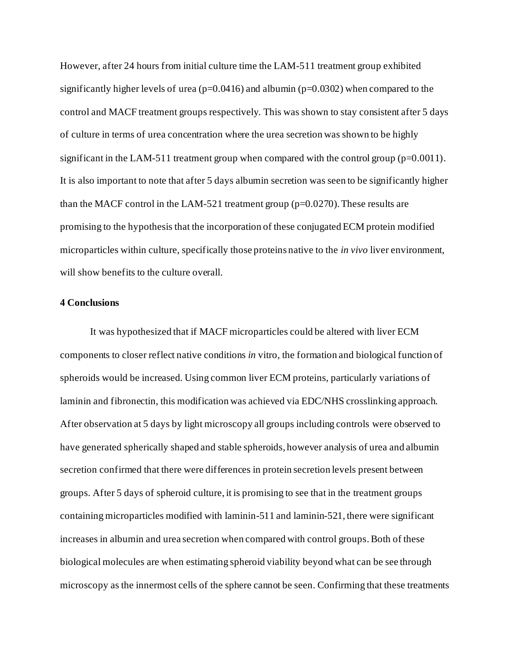However, after 24 hours from initial culture time the LAM-511 treatment group exhibited significantly higher levels of urea ( $p=0.0416$ ) and albumin ( $p=0.0302$ ) when compared to the control and MACF treatment groups respectively. This was shown to stay consistent after 5 days of culture in terms of urea concentration where the urea secretion was shown to be highly significant in the LAM-511 treatment group when compared with the control group  $(p=0.0011)$ . It is also important to note that after 5 days albumin secretion was seen to be significantly higher than the MACF control in the LAM-521 treatment group ( $p=0.0270$ ). These results are promising to the hypothesis that the incorporation of these conjugated ECM protein modified microparticles within culture, specifically those proteins native to the *in vivo* liver environment, will show benefits to the culture overall.

#### **4 Conclusions**

It was hypothesized that if MACF microparticles could be altered with liver ECM components to closer reflect native conditions *in* vitro, the formation and biological function of spheroids would be increased. Using common liver ECM proteins, particularly variations of laminin and fibronectin, this modification was achieved via EDC/NHS crosslinking approach. After observation at 5 days by light microscopy all groups including controls were observed to have generated spherically shaped and stable spheroids, however analysis of urea and albumin secretion confirmed that there were differences in protein secretion levels present between groups. After 5 days of spheroid culture, it is promising to see that in the treatment groups containing microparticles modified with laminin-511 and laminin-521, there were significant increases in albumin and urea secretion when compared with control groups. Both of these biological molecules are when estimating spheroid viability beyond what can be see through microscopy as the innermost cells of the sphere cannot be seen. Confirming that these treatments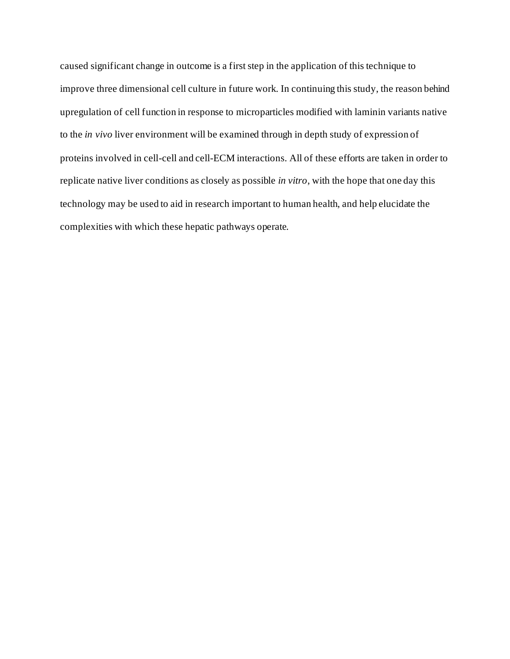caused significant change in outcome is a first step in the application of this technique to improve three dimensional cell culture in future work. In continuing this study, the reason behind upregulation of cell function in response to microparticles modified with laminin variants native to the *in vivo* liver environment will be examined through in depth study of expression of proteins involved in cell-cell and cell-ECM interactions. All of these efforts are taken in order to replicate native liver conditions as closely as possible *in vitro*, with the hope that one day this technology may be used to aid in research important to human health, and help elucidate the complexities with which these hepatic pathways operate.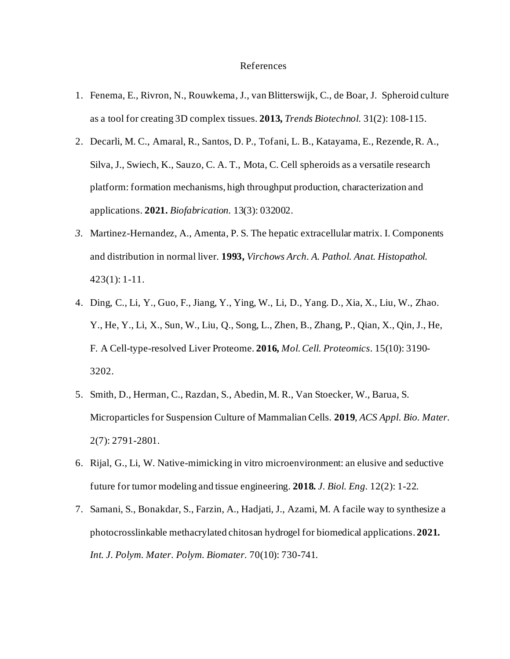#### References

- 1. Fenema, E., Rivron, N., Rouwkema, J., van Blitterswijk, C., de Boar, J. Spheroid culture as a tool for creating 3D complex tissues. **2013,** *Trends Biotechnol.* 31(2): 108-115.
- 2. Decarli, M. C., Amaral, R., Santos, D. P., Tofani, L. B., Katayama, E., Rezende, R. A., Silva, J., Swiech, K., Sauzo, C. A. T., Mota, C. Cell spheroids as a versatile research platform: formation mechanisms, high throughput production, characterization and applications. **2021.** *Biofabrication.* 13(3): 032002.
- *3.* Martinez-Hernandez, A., Amenta, P. S. The hepatic extracellular matrix. I. Components and distribution in normal liver. **1993,** *Virchows Arch. A. Pathol. Anat. Histopathol.*  423(1): 1-11.
- 4. Ding, C., Li, Y., Guo, F., Jiang, Y., Ying, W., Li, D., Yang. D., Xia, X., Liu, W., Zhao. Y., He, Y., Li, X., Sun, W., Liu, Q., Song, L., Zhen, B., Zhang, P., Qian, X., Qin, J., He, F. A Cell-type-resolved Liver Proteome. **2016,** *Mol. Cell. Proteomics*. 15(10): 3190- 3202.
- 5. Smith, D., Herman, C., Razdan, S., Abedin, M. R., Van Stoecker, W., Barua, S. Microparticles for Suspension Culture of Mammalian Cells. **2019**, *ACS Appl. Bio. Mater.* 2(7): 2791-2801.
- 6. Rijal, G., Li, W. Native-mimicking in vitro microenvironment: an elusive and seductive future for tumor modeling and tissue engineering. **2018.** *J. Biol. Eng.* 12(2): 1-22.
- 7. Samani, S., Bonakdar, S., Farzin, A., Hadjati, J., Azami, M. A facile way to synthesize a photocrosslinkable methacrylated chitosan hydrogel for biomedical applications. **2021.** *Int. J. Polym. Mater. Polym. Biomater.* 70(10): 730-741.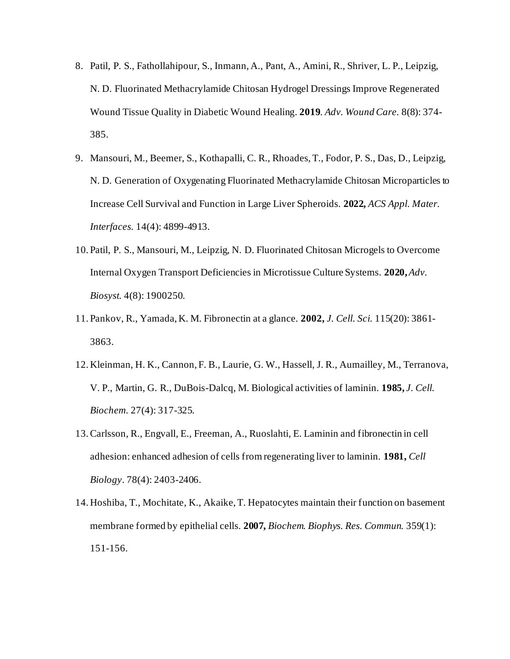- 8. Patil, P. S., Fathollahipour, S., Inmann, A., Pant, A., Amini, R., Shriver, L. P., Leipzig, N. D. Fluorinated Methacrylamide Chitosan Hydrogel Dressings Improve Regenerated Wound Tissue Quality in Diabetic Wound Healing. **2019**. *Adv. Wound Care.* 8(8): 374- 385.
- 9. Mansouri, M., Beemer, S., Kothapalli, C. R., Rhoades, T., Fodor, P. S., Das, D., Leipzig, N. D. Generation of Oxygenating Fluorinated Methacrylamide Chitosan Microparticles to Increase Cell Survival and Function in Large Liver Spheroids. **2022,** *ACS Appl. Mater. Interfaces.* 14(4): 4899-4913.
- 10. Patil, P. S., Mansouri, M., Leipzig, N. D. Fluorinated Chitosan Microgels to Overcome Internal Oxygen Transport Deficiencies in Microtissue Culture Systems. **2020,** *Adv. Biosyst.* 4(8): 1900250.
- 11. Pankov, R., Yamada, K. M. Fibronectin at a glance. **2002,** *J. Cell. Sci.* 115(20): 3861- 3863.
- 12. Kleinman, H. K., Cannon, F. B., Laurie, G. W., Hassell, J. R., Aumailley, M., Terranova, V. P., Martin, G. R., DuBois-Dalcq, M. Biological activities of laminin. **1985,** *J. Cell. Biochem.* 27(4): 317-325.
- 13.Carlsson, R., Engvall, E., Freeman, A., Ruoslahti, E. Laminin and fibronectin in cell adhesion: enhanced adhesion of cells from regenerating liver to laminin. **1981,** *Cell Biology*. 78(4): 2403-2406.
- 14. Hoshiba, T., Mochitate, K., Akaike, T. Hepatocytes maintain their function on basement membrane formed by epithelial cells. **2007,** *Biochem. Biophys. Res. Commun.* 359(1): 151-156.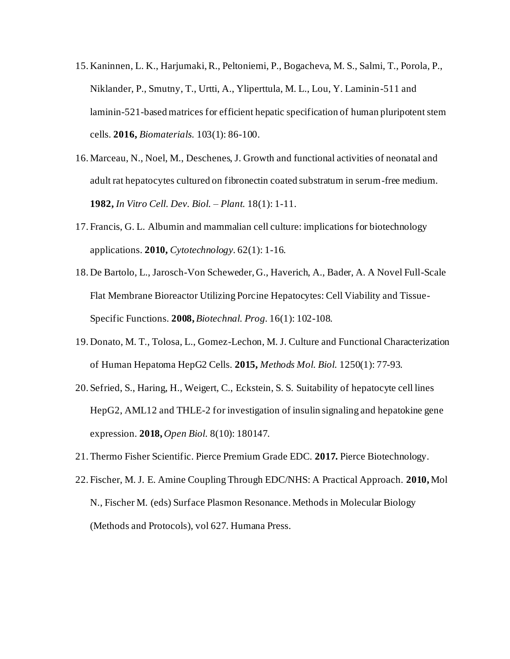- 15. Kaninnen, L. K., Harjumaki, R., Peltoniemi, P., Bogacheva, M. S., Salmi, T., Porola, P., Niklander, P., Smutny, T., Urtti, A., Yliperttula, M. L., Lou, Y. Laminin-511 and laminin-521-based matrices for efficient hepatic specification of human pluripotent stem cells. **2016,** *Biomaterials.* 103(1): 86-100.
- 16. Marceau, N., Noel, M., Deschenes, J. Growth and functional activities of neonatal and adult rat hepatocytes cultured on fibronectin coated substratum in serum-free medium. **1982,** *In Vitro Cell. Dev. Biol. – Plant.* 18(1): 1-11.
- 17. Francis, G. L. Albumin and mammalian cell culture: implications for biotechnology applications. **2010,** *Cytotechnology.* 62(1): 1-16.
- 18. De Bartolo, L., Jarosch-Von Scheweder, G., Haverich, A., Bader, A. A Novel Full-Scale Flat Membrane Bioreactor Utilizing Porcine Hepatocytes: Cell Viability and Tissue-Specific Functions. **2008,** *Biotechnal. Prog.* 16(1): 102-108.
- 19. Donato, M. T., Tolosa, L., Gomez-Lechon, M. J. Culture and Functional Characterization of Human Hepatoma HepG2 Cells. **2015,** *Methods Mol. Biol.* 1250(1): 77-93.
- 20. Sefried, S., Haring, H., Weigert, C., Eckstein, S. S. Suitability of hepatocyte cell lines HepG2, AML12 and THLE-2 for investigation of insulin signaling and hepatokine gene expression. **2018,** *Open Biol.* 8(10): 180147.
- 21.Thermo Fisher Scientific. Pierce Premium Grade EDC. **2017.** Pierce Biotechnology.
- 22. Fischer, M. J. E. Amine Coupling Through EDC/NHS: A Practical Approach. **2010,** Mol N., Fischer M. (eds) Surface Plasmon Resonance. Methods in Molecular Biology (Methods and Protocols), vol 627. Humana Press.